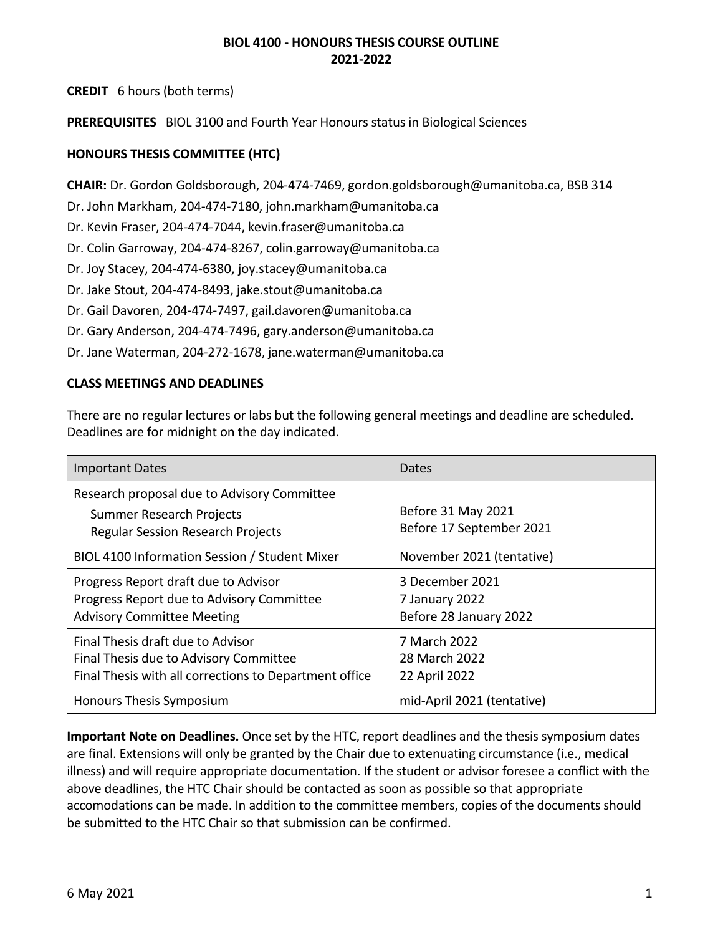**CREDIT** 6 hours (both terms)

**PREREQUISITES** BIOL 3100 and Fourth Year Honours status in Biological Sciences

# **HONOURS THESIS COMMITTEE (HTC)**

**CHAIR:** Dr. Gordon Goldsborough, 204-474-7469, gordon.goldsborough@umanitoba.ca, BSB 314

Dr. John Markham, 204-474-7180, john.markham@umanitoba.ca

Dr. Kevin Fraser, 204-474-7044, kevin.fraser@umanitoba.ca

Dr. Colin Garroway, 204-474-8267, colin.garroway@umanitoba.ca

Dr. Joy Stacey, 204-474-6380, joy.stacey@umanitoba.ca

Dr. Jake Stout, 204-474-8493, jake.stout@umanitoba.ca

Dr. Gail Davoren, 204-474-7497, gail.davoren@umanitoba.ca

Dr. Gary Anderson, 204-474-7496, gary.anderson@umanitoba.ca

Dr. Jane Waterman, 204-272-1678, jane.waterman@umanitoba.ca

# **CLASS MEETINGS AND DEADLINES**

There are no regular lectures or labs but the following general meetings and deadline are scheduled. Deadlines are for midnight on the day indicated.

| <b>Important Dates</b>                                                                                                                | Dates                                                       |
|---------------------------------------------------------------------------------------------------------------------------------------|-------------------------------------------------------------|
| Research proposal due to Advisory Committee<br>Summer Research Projects<br><b>Regular Session Research Projects</b>                   | Before 31 May 2021<br>Before 17 September 2021              |
| BIOL 4100 Information Session / Student Mixer                                                                                         | November 2021 (tentative)                                   |
| Progress Report draft due to Advisor<br>Progress Report due to Advisory Committee<br><b>Advisory Committee Meeting</b>                | 3 December 2021<br>7 January 2022<br>Before 28 January 2022 |
| Final Thesis draft due to Advisor<br>Final Thesis due to Advisory Committee<br>Final Thesis with all corrections to Department office | 7 March 2022<br>28 March 2022<br>22 April 2022              |
| Honours Thesis Symposium                                                                                                              | mid-April 2021 (tentative)                                  |

**Important Note on Deadlines.** Once set by the HTC, report deadlines and the thesis symposium dates are final. Extensions will only be granted by the Chair due to extenuating circumstance (i.e., medical illness) and will require appropriate documentation. If the student or advisor foresee a conflict with the above deadlines, the HTC Chair should be contacted as soon as possible so that appropriate accomodations can be made. In addition to the committee members, copies of the documents should be submitted to the HTC Chair so that submission can be confirmed.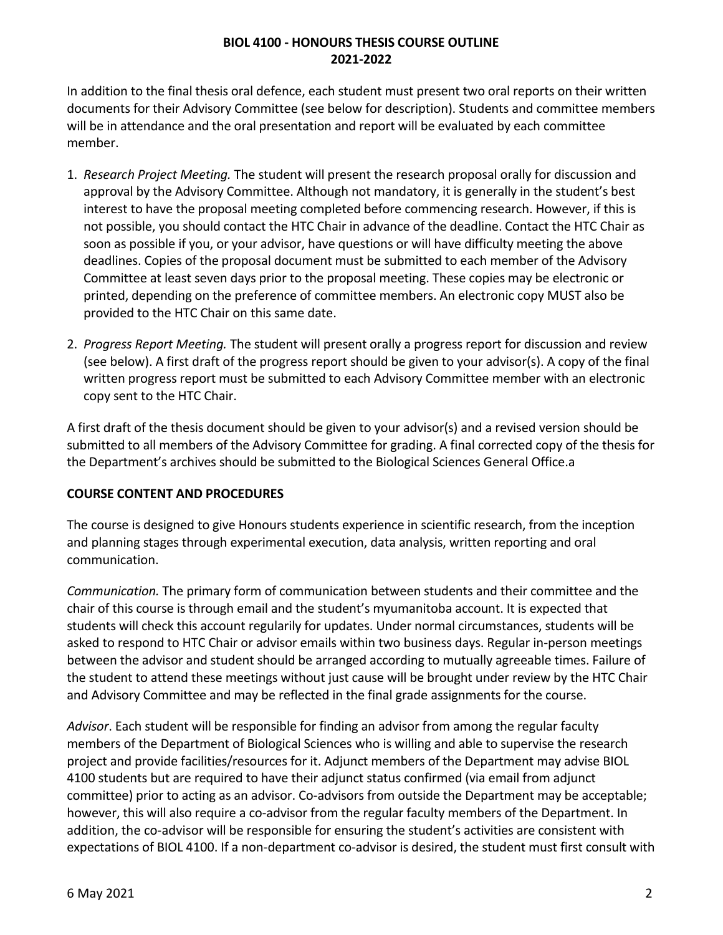In addition to the final thesis oral defence, each student must present two oral reports on their written documents for their Advisory Committee (see below for description). Students and committee members will be in attendance and the oral presentation and report will be evaluated by each committee member.

- 1. *Research Project Meeting.* The student will present the research proposal orally for discussion and approval by the Advisory Committee. Although not mandatory, it is generally in the student's best interest to have the proposal meeting completed before commencing research. However, if this is not possible, you should contact the HTC Chair in advance of the deadline. Contact the HTC Chair as soon as possible if you, or your advisor, have questions or will have difficulty meeting the above deadlines. Copies of the proposal document must be submitted to each member of the Advisory Committee at least seven days prior to the proposal meeting. These copies may be electronic or printed, depending on the preference of committee members. An electronic copy MUST also be provided to the HTC Chair on this same date.
- 2. *Progress Report Meeting.* The student will present orally a progress report for discussion and review (see below). A first draft of the progress report should be given to your advisor(s). A copy of the final written progress report must be submitted to each Advisory Committee member with an electronic copy sent to the HTC Chair.

A first draft of the thesis document should be given to your advisor(s) and a revised version should be submitted to all members of the Advisory Committee for grading. A final corrected copy of the thesis for the Department's archives should be submitted to the Biological Sciences General Office.a

# **COURSE CONTENT AND PROCEDURES**

The course is designed to give Honours students experience in scientific research, from the inception and planning stages through experimental execution, data analysis, written reporting and oral communication.

*Communication.* The primary form of communication between students and their committee and the chair of this course is through email and the student's myumanitoba account. It is expected that students will check this account regularily for updates. Under normal circumstances, students will be asked to respond to HTC Chair or advisor emails within two business days. Regular in-person meetings between the advisor and student should be arranged according to mutually agreeable times. Failure of the student to attend these meetings without just cause will be brought under review by the HTC Chair and Advisory Committee and may be reflected in the final grade assignments for the course.

*Advisor*. Each student will be responsible for finding an advisor from among the regular faculty members of the Department of Biological Sciences who is willing and able to supervise the research project and provide facilities/resources for it. Adjunct members of the Department may advise BIOL 4100 students but are required to have their adjunct status confirmed (via email from adjunct committee) prior to acting as an advisor. Co-advisors from outside the Department may be acceptable; however, this will also require a co-advisor from the regular faculty members of the Department. In addition, the co-advisor will be responsible for ensuring the student's activities are consistent with expectations of BIOL 4100. If a non-department co-advisor is desired, the student must first consult with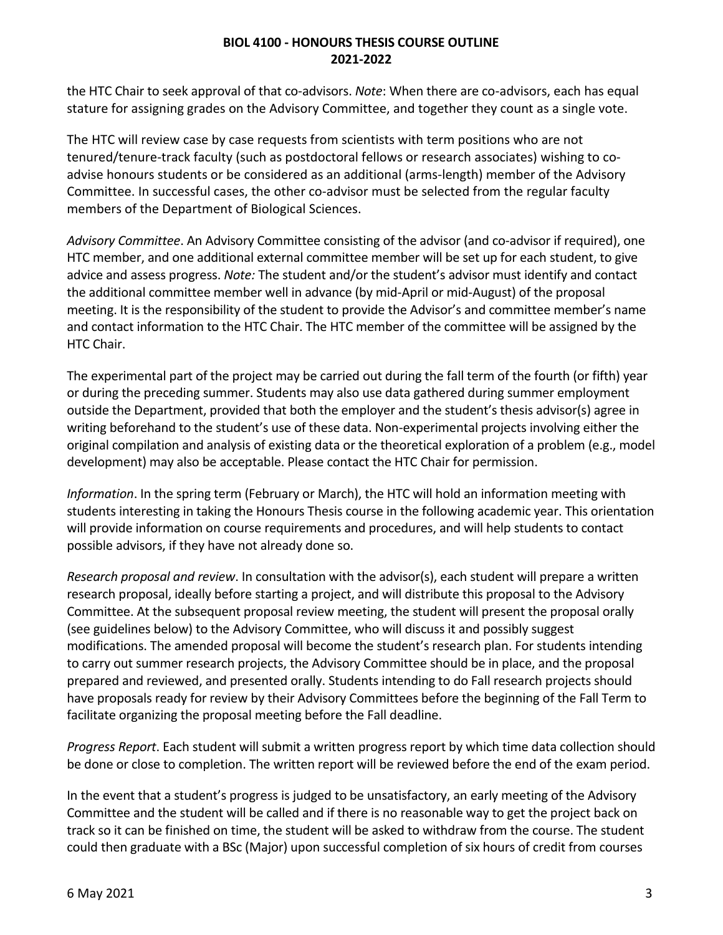the HTC Chair to seek approval of that co-advisors. *Note*: When there are co-advisors, each has equal stature for assigning grades on the Advisory Committee, and together they count as a single vote.

The HTC will review case by case requests from scientists with term positions who are not tenured/tenure-track faculty (such as postdoctoral fellows or research associates) wishing to coadvise honours students or be considered as an additional (arms-length) member of the Advisory Committee. In successful cases, the other co-advisor must be selected from the regular faculty members of the Department of Biological Sciences.

*Advisory Committee*. An Advisory Committee consisting of the advisor (and co-advisor if required), one HTC member, and one additional external committee member will be set up for each student, to give advice and assess progress. *Note:* The student and/or the student's advisor must identify and contact the additional committee member well in advance (by mid-April or mid-August) of the proposal meeting. It is the responsibility of the student to provide the Advisor's and committee member's name and contact information to the HTC Chair. The HTC member of the committee will be assigned by the HTC Chair.

The experimental part of the project may be carried out during the fall term of the fourth (or fifth) year or during the preceding summer. Students may also use data gathered during summer employment outside the Department, provided that both the employer and the student's thesis advisor(s) agree in writing beforehand to the student's use of these data. Non-experimental projects involving either the original compilation and analysis of existing data or the theoretical exploration of a problem (e.g., model development) may also be acceptable. Please contact the HTC Chair for permission.

*Information*. In the spring term (February or March), the HTC will hold an information meeting with students interesting in taking the Honours Thesis course in the following academic year. This orientation will provide information on course requirements and procedures, and will help students to contact possible advisors, if they have not already done so.

*Research proposal and review*. In consultation with the advisor(s), each student will prepare a written research proposal, ideally before starting a project, and will distribute this proposal to the Advisory Committee. At the subsequent proposal review meeting, the student will present the proposal orally (see guidelines below) to the Advisory Committee, who will discuss it and possibly suggest modifications. The amended proposal will become the student's research plan. For students intending to carry out summer research projects, the Advisory Committee should be in place, and the proposal prepared and reviewed, and presented orally. Students intending to do Fall research projects should have proposals ready for review by their Advisory Committees before the beginning of the Fall Term to facilitate organizing the proposal meeting before the Fall deadline.

*Progress Report*. Each student will submit a written progress report by which time data collection should be done or close to completion. The written report will be reviewed before the end of the exam period.

In the event that a student's progress is judged to be unsatisfactory, an early meeting of the Advisory Committee and the student will be called and if there is no reasonable way to get the project back on track so it can be finished on time, the student will be asked to withdraw from the course. The student could then graduate with a BSc (Major) upon successful completion of six hours of credit from courses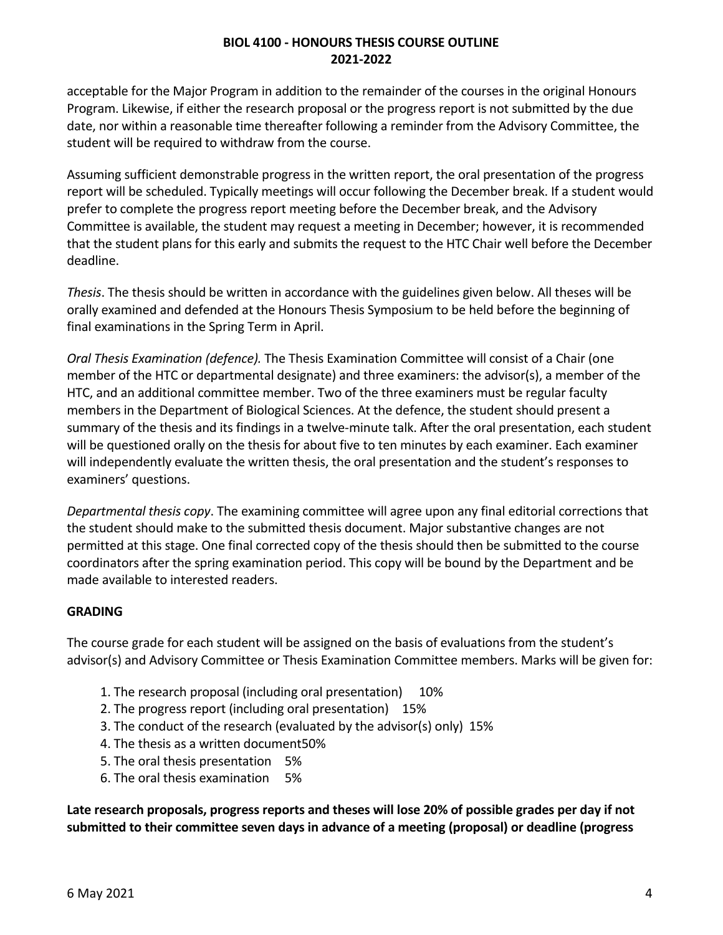acceptable for the Major Program in addition to the remainder of the courses in the original Honours Program. Likewise, if either the research proposal or the progress report is not submitted by the due date, nor within a reasonable time thereafter following a reminder from the Advisory Committee, the student will be required to withdraw from the course.

Assuming sufficient demonstrable progress in the written report, the oral presentation of the progress report will be scheduled. Typically meetings will occur following the December break. If a student would prefer to complete the progress report meeting before the December break, and the Advisory Committee is available, the student may request a meeting in December; however, it is recommended that the student plans for this early and submits the request to the HTC Chair well before the December deadline.

*Thesis*. The thesis should be written in accordance with the guidelines given below. All theses will be orally examined and defended at the Honours Thesis Symposium to be held before the beginning of final examinations in the Spring Term in April.

*Oral Thesis Examination (defence).* The Thesis Examination Committee will consist of a Chair (one member of the HTC or departmental designate) and three examiners: the advisor(s), a member of the HTC, and an additional committee member. Two of the three examiners must be regular faculty members in the Department of Biological Sciences. At the defence, the student should present a summary of the thesis and its findings in a twelve-minute talk. After the oral presentation, each student will be questioned orally on the thesis for about five to ten minutes by each examiner. Each examiner will independently evaluate the written thesis, the oral presentation and the student's responses to examiners' questions.

*Departmental thesis copy*. The examining committee will agree upon any final editorial corrections that the student should make to the submitted thesis document. Major substantive changes are not permitted at this stage. One final corrected copy of the thesis should then be submitted to the course coordinators after the spring examination period. This copy will be bound by the Department and be made available to interested readers.

# **GRADING**

The course grade for each student will be assigned on the basis of evaluations from the student's advisor(s) and Advisory Committee or Thesis Examination Committee members. Marks will be given for:

- 1. The research proposal (including oral presentation) 10%
- 2. The progress report (including oral presentation) 15%
- 3. The conduct of the research (evaluated by the advisor(s) only) 15%
- 4. The thesis as a written document50%
- 5. The oral thesis presentation 5%
- 6. The oral thesis examination 5%

**Late research proposals, progress reports and theses will lose 20% of possible grades per day if not submitted to their committee seven days in advance of a meeting (proposal) or deadline (progress**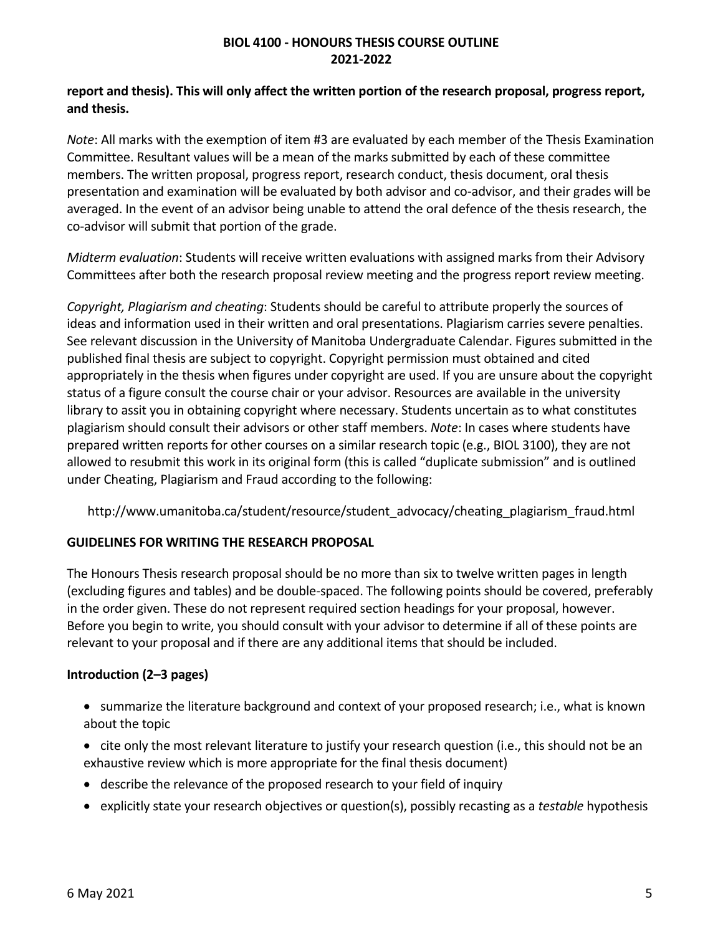# **report and thesis). This will only affect the written portion of the research proposal, progress report, and thesis.**

*Note*: All marks with the exemption of item #3 are evaluated by each member of the Thesis Examination Committee. Resultant values will be a mean of the marks submitted by each of these committee members. The written proposal, progress report, research conduct, thesis document, oral thesis presentation and examination will be evaluated by both advisor and co-advisor, and their grades will be averaged. In the event of an advisor being unable to attend the oral defence of the thesis research, the co-advisor will submit that portion of the grade.

*Midterm evaluation*: Students will receive written evaluations with assigned marks from their Advisory Committees after both the research proposal review meeting and the progress report review meeting.

*Copyright, Plagiarism and cheating*: Students should be careful to attribute properly the sources of ideas and information used in their written and oral presentations. Plagiarism carries severe penalties. See relevant discussion in the University of Manitoba Undergraduate Calendar. Figures submitted in the published final thesis are subject to copyright. Copyright permission must obtained and cited appropriately in the thesis when figures under copyright are used. If you are unsure about the copyright status of a figure consult the course chair or your advisor. Resources are available in the university library to assit you in obtaining copyright where necessary. Students uncertain as to what constitutes plagiarism should consult their advisors or other staff members. *Note*: In cases where students have prepared written reports for other courses on a similar research topic (e.g., BIOL 3100), they are not allowed to resubmit this work in its original form (this is called "duplicate submission" and is outlined under Cheating, Plagiarism and Fraud according to the following:

http://www.umanitoba.ca/student/resource/student\_advocacy/cheating\_plagiarism\_fraud.html

# **GUIDELINES FOR WRITING THE RESEARCH PROPOSAL**

The Honours Thesis research proposal should be no more than six to twelve written pages in length (excluding figures and tables) and be double-spaced. The following points should be covered, preferably in the order given. These do not represent required section headings for your proposal, however. Before you begin to write, you should consult with your advisor to determine if all of these points are relevant to your proposal and if there are any additional items that should be included.

# **Introduction (2–3 pages)**

- summarize the literature background and context of your proposed research; i.e., what is known about the topic
- cite only the most relevant literature to justify your research question (i.e., this should not be an exhaustive review which is more appropriate for the final thesis document)
- describe the relevance of the proposed research to your field of inquiry
- explicitly state your research objectives or question(s), possibly recasting as a *testable* hypothesis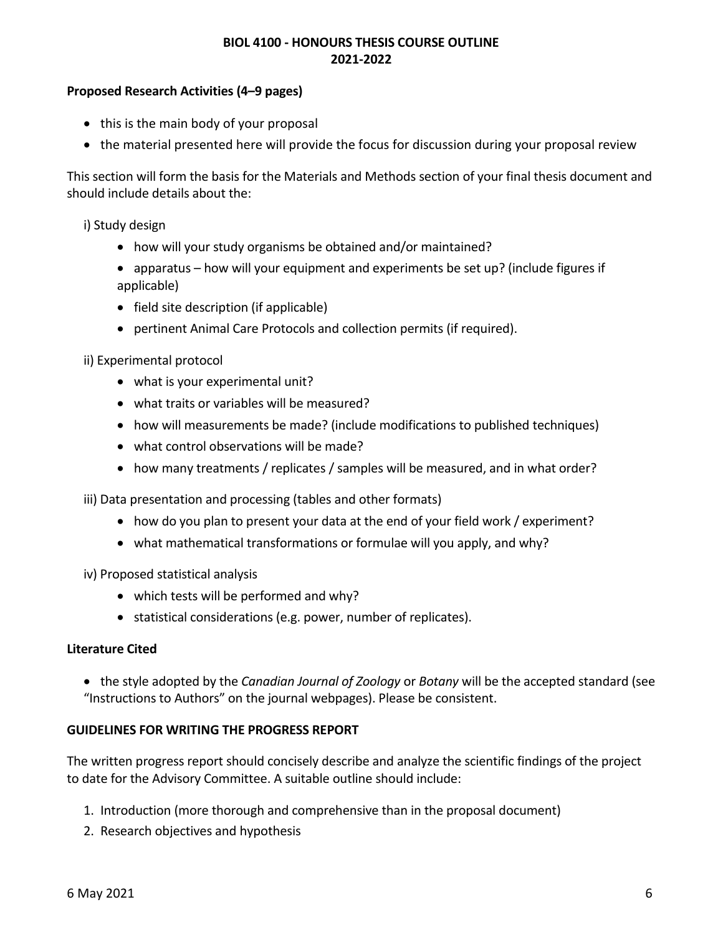# **Proposed Research Activities (4–9 pages)**

- this is the main body of your proposal
- the material presented here will provide the focus for discussion during your proposal review

This section will form the basis for the Materials and Methods section of your final thesis document and should include details about the:

i) Study design

- how will your study organisms be obtained and/or maintained?
- apparatus how will your equipment and experiments be set up? (include figures if applicable)
- field site description (if applicable)
- pertinent Animal Care Protocols and collection permits (if required).

ii) Experimental protocol

- what is your experimental unit?
- what traits or variables will be measured?
- how will measurements be made? (include modifications to published techniques)
- what control observations will be made?
- how many treatments / replicates / samples will be measured, and in what order?

iii) Data presentation and processing (tables and other formats)

- how do you plan to present your data at the end of your field work / experiment?
- what mathematical transformations or formulae will you apply, and why?
- iv) Proposed statistical analysis
	- which tests will be performed and why?
	- statistical considerations (e.g. power, number of replicates).

#### **Literature Cited**

• the style adopted by the *Canadian Journal of Zoology* or *Botany* will be the accepted standard (see "Instructions to Authors" on the journal webpages). Please be consistent.

#### **GUIDELINES FOR WRITING THE PROGRESS REPORT**

The written progress report should concisely describe and analyze the scientific findings of the project to date for the Advisory Committee. A suitable outline should include:

- 1. Introduction (more thorough and comprehensive than in the proposal document)
- 2. Research objectives and hypothesis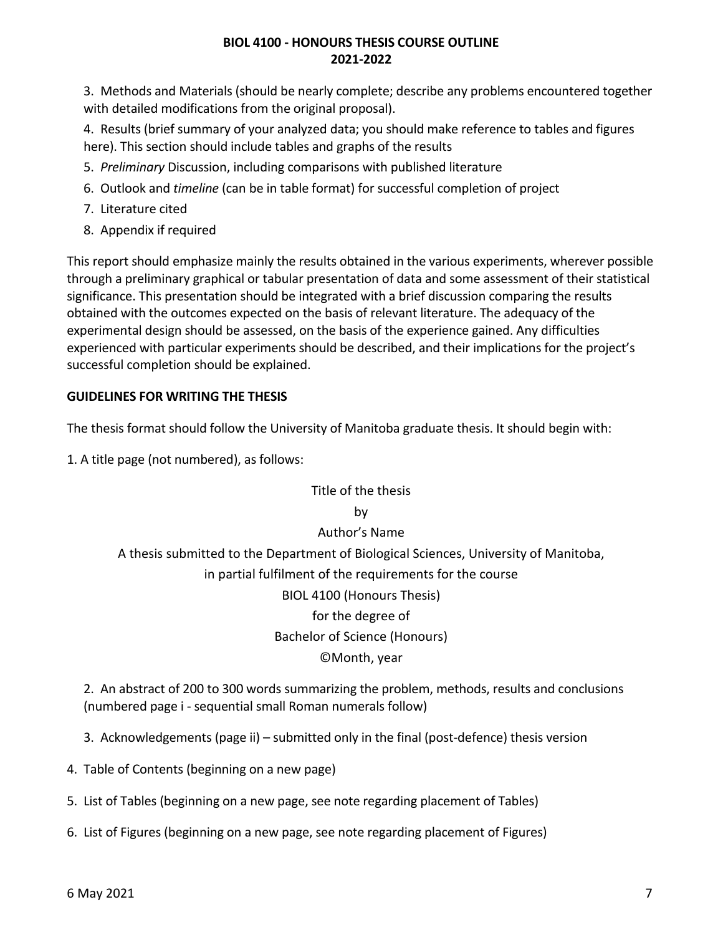3. Methods and Materials (should be nearly complete; describe any problems encountered together with detailed modifications from the original proposal).

4. Results (brief summary of your analyzed data; you should make reference to tables and figures here). This section should include tables and graphs of the results

- 5. *Preliminary* Discussion, including comparisons with published literature
- 6. Outlook and *timeline* (can be in table format) for successful completion of project
- 7. Literature cited
- 8. Appendix if required

This report should emphasize mainly the results obtained in the various experiments, wherever possible through a preliminary graphical or tabular presentation of data and some assessment of their statistical significance. This presentation should be integrated with a brief discussion comparing the results obtained with the outcomes expected on the basis of relevant literature. The adequacy of the experimental design should be assessed, on the basis of the experience gained. Any difficulties experienced with particular experiments should be described, and their implications for the project's successful completion should be explained.

# **GUIDELINES FOR WRITING THE THESIS**

The thesis format should follow the University of Manitoba graduate thesis. It should begin with:

1. A title page (not numbered), as follows:

# Title of the thesis by Author's Name A thesis submitted to the Department of Biological Sciences, University of Manitoba, in partial fulfilment of the requirements for the course BIOL 4100 (Honours Thesis) for the degree of Bachelor of Science (Honours) ©Month, year

2. An abstract of 200 to 300 words summarizing the problem, methods, results and conclusions (numbered page i - sequential small Roman numerals follow)

3. Acknowledgements (page ii) – submitted only in the final (post-defence) thesis version

4. Table of Contents (beginning on a new page)

5. List of Tables (beginning on a new page, see note regarding placement of Tables)

6. List of Figures (beginning on a new page, see note regarding placement of Figures)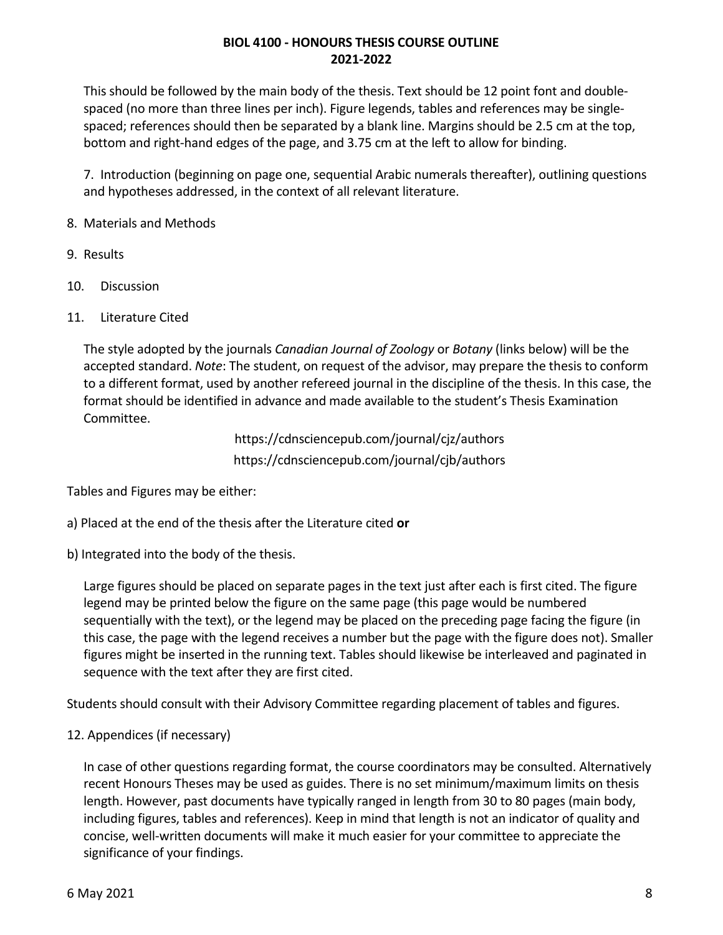This should be followed by the main body of the thesis. Text should be 12 point font and doublespaced (no more than three lines per inch). Figure legends, tables and references may be singlespaced; references should then be separated by a blank line. Margins should be 2.5 cm at the top, bottom and right-hand edges of the page, and 3.75 cm at the left to allow for binding.

7. Introduction (beginning on page one, sequential Arabic numerals thereafter), outlining questions and hypotheses addressed, in the context of all relevant literature.

- 8. Materials and Methods
- 9. Results
- 10. Discussion
- 11. Literature Cited

The style adopted by the journals *Canadian Journal of Zoology* or *Botany* (links below) will be the accepted standard. *Note*: The student, on request of the advisor, may prepare the thesis to conform to a different format, used by another refereed journal in the discipline of the thesis. In this case, the format should be identified in advance and made available to the student's Thesis Examination Committee.

> https://cdnsciencepub.com/journal/cjz/authors https://cdnsciencepub.com/journal/cjb/authors

Tables and Figures may be either:

- a) Placed at the end of the thesis after the Literature cited **or**
- b) Integrated into the body of the thesis.

Large figures should be placed on separate pages in the text just after each is first cited. The figure legend may be printed below the figure on the same page (this page would be numbered sequentially with the text), or the legend may be placed on the preceding page facing the figure (in this case, the page with the legend receives a number but the page with the figure does not). Smaller figures might be inserted in the running text. Tables should likewise be interleaved and paginated in sequence with the text after they are first cited.

Students should consult with their Advisory Committee regarding placement of tables and figures.

12. Appendices (if necessary)

In case of other questions regarding format, the course coordinators may be consulted. Alternatively recent Honours Theses may be used as guides. There is no set minimum/maximum limits on thesis length. However, past documents have typically ranged in length from 30 to 80 pages (main body, including figures, tables and references). Keep in mind that length is not an indicator of quality and concise, well-written documents will make it much easier for your committee to appreciate the significance of your findings.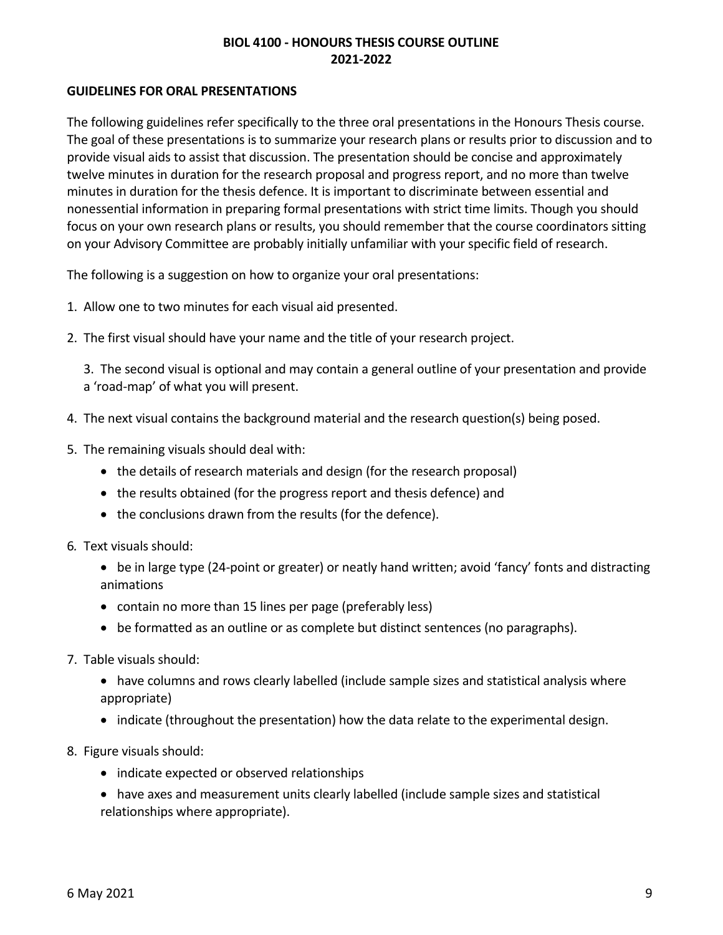#### **GUIDELINES FOR ORAL PRESENTATIONS**

The following guidelines refer specifically to the three oral presentations in the Honours Thesis course. The goal of these presentations is to summarize your research plans or results prior to discussion and to provide visual aids to assist that discussion. The presentation should be concise and approximately twelve minutes in duration for the research proposal and progress report, and no more than twelve minutes in duration for the thesis defence. It is important to discriminate between essential and nonessential information in preparing formal presentations with strict time limits. Though you should focus on your own research plans or results, you should remember that the course coordinators sitting on your Advisory Committee are probably initially unfamiliar with your specific field of research.

The following is a suggestion on how to organize your oral presentations:

- 1. Allow one to two minutes for each visual aid presented.
- 2. The first visual should have your name and the title of your research project.

3. The second visual is optional and may contain a general outline of your presentation and provide a 'road-map' of what you will present.

- 4. The next visual contains the background material and the research question(s) being posed.
- 5. The remaining visuals should deal with:
	- the details of research materials and design (for the research proposal)
	- the results obtained (for the progress report and thesis defence) and
	- the conclusions drawn from the results (for the defence).
- 6*.* Text visuals should:
	- be in large type (24-point or greater) or neatly hand written; avoid 'fancy' fonts and distracting animations
	- contain no more than 15 lines per page (preferably less)
	- be formatted as an outline or as complete but distinct sentences (no paragraphs).
- 7. Table visuals should:
	- have columns and rows clearly labelled (include sample sizes and statistical analysis where appropriate)
	- indicate (throughout the presentation) how the data relate to the experimental design.
- 8. Figure visuals should:
	- indicate expected or observed relationships
	- have axes and measurement units clearly labelled (include sample sizes and statistical relationships where appropriate).